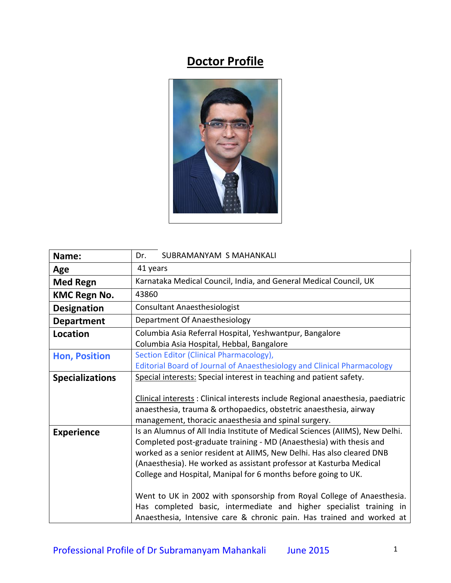## **Doctor Profile**



| Name:                  | SUBRAMANYAM S MAHANKALI<br>Dr.                                                                                                                                                                                                                                                                                                                                                                                                                                                                                                                                                                  |  |  |
|------------------------|-------------------------------------------------------------------------------------------------------------------------------------------------------------------------------------------------------------------------------------------------------------------------------------------------------------------------------------------------------------------------------------------------------------------------------------------------------------------------------------------------------------------------------------------------------------------------------------------------|--|--|
| Age                    | 41 years                                                                                                                                                                                                                                                                                                                                                                                                                                                                                                                                                                                        |  |  |
| <b>Med Regn</b>        | Karnataka Medical Council, India, and General Medical Council, UK                                                                                                                                                                                                                                                                                                                                                                                                                                                                                                                               |  |  |
| <b>KMC Regn No.</b>    | 43860                                                                                                                                                                                                                                                                                                                                                                                                                                                                                                                                                                                           |  |  |
| <b>Designation</b>     | <b>Consultant Anaesthesiologist</b>                                                                                                                                                                                                                                                                                                                                                                                                                                                                                                                                                             |  |  |
| <b>Department</b>      | Department Of Anaesthesiology                                                                                                                                                                                                                                                                                                                                                                                                                                                                                                                                                                   |  |  |
| Location               | Columbia Asia Referral Hospital, Yeshwantpur, Bangalore<br>Columbia Asia Hospital, Hebbal, Bangalore                                                                                                                                                                                                                                                                                                                                                                                                                                                                                            |  |  |
| <b>Hon, Position</b>   | Section Editor (Clinical Pharmacology),<br>Editorial Board of Journal of Anaesthesiology and Clinical Pharmacology                                                                                                                                                                                                                                                                                                                                                                                                                                                                              |  |  |
| <b>Specializations</b> | Special interests: Special interest in teaching and patient safety.<br>Clinical interests: Clinical interests include Regional anaesthesia, paediatric<br>anaesthesia, trauma & orthopaedics, obstetric anaesthesia, airway<br>management, thoracic anaesthesia and spinal surgery.                                                                                                                                                                                                                                                                                                             |  |  |
| <b>Experience</b>      | Is an Alumnus of All India Institute of Medical Sciences (AIIMS), New Delhi.<br>Completed post-graduate training - MD (Anaesthesia) with thesis and<br>worked as a senior resident at AIIMS, New Delhi. Has also cleared DNB<br>(Anaesthesia). He worked as assistant professor at Kasturba Medical<br>College and Hospital, Manipal for 6 months before going to UK.<br>Went to UK in 2002 with sponsorship from Royal College of Anaesthesia.<br>Has completed basic, intermediate and higher specialist training in<br>Anaesthesia, Intensive care & chronic pain. Has trained and worked at |  |  |